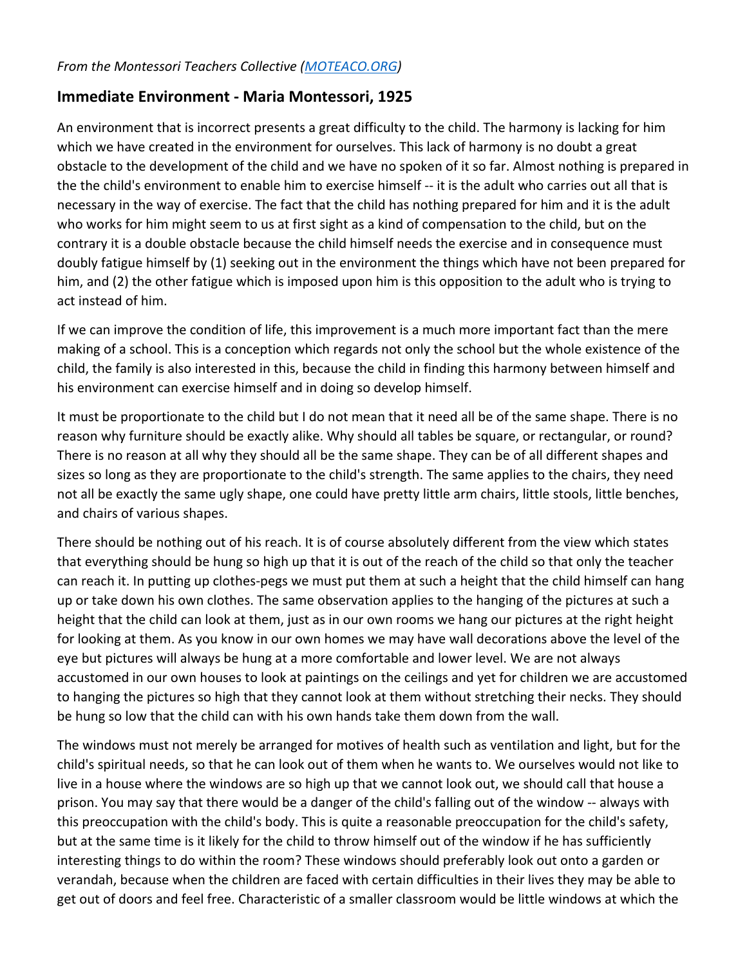## **Immediate Environment - Maria Montessori, 1925**

An environment that is incorrect presents a great difficulty to the child. The harmony is lacking for him which we have created in the environment for ourselves. This lack of harmony is no doubt a great obstacle to the development of the child and we have no spoken of it so far. Almost nothing is prepared in the the child's environment to enable him to exercise himself -- it is the adult who carries out all that is necessary in the way of exercise. The fact that the child has nothing prepared for him and it is the adult who works for him might seem to us at first sight as a kind of compensation to the child, but on the contrary it is a double obstacle because the child himself needs the exercise and in consequence must doubly fatigue himself by (1) seeking out in the environment the things which have not been prepared for him, and (2) the other fatigue which is imposed upon him is this opposition to the adult who is trying to act instead of him.

If we can improve the condition of life, this improvement is a much more important fact than the mere making of a school. This is a conception which regards not only the school but the whole existence of the child, the family is also interested in this, because the child in finding this harmony between himself and his environment can exercise himself and in doing so develop himself.

It must be proportionate to the child but I do not mean that it need all be of the same shape. There is no reason why furniture should be exactly alike. Why should all tables be square, or rectangular, or round? There is no reason at all why they should all be the same shape. They can be of all different shapes and sizes so long as they are proportionate to the child's strength. The same applies to the chairs, they need not all be exactly the same ugly shape, one could have pretty little arm chairs, little stools, little benches, and chairs of various shapes.

There should be nothing out of his reach. It is of course absolutely different from the view which states that everything should be hung so high up that it is out of the reach of the child so that only the teacher can reach it. In putting up clothes-pegs we must put them at such a height that the child himself can hang up or take down his own clothes. The same observation applies to the hanging of the pictures at such a height that the child can look at them, just as in our own rooms we hang our pictures at the right height for looking at them. As you know in our own homes we may have wall decorations above the level of the eye but pictures will always be hung at a more comfortable and lower level. We are not always accustomed in our own houses to look at paintings on the ceilings and yet for children we are accustomed to hanging the pictures so high that they cannot look at them without stretching their necks. They should be hung so low that the child can with his own hands take them down from the wall.

The windows must not merely be arranged for motives of health such as ventilation and light, but for the child's spiritual needs, so that he can look out of them when he wants to. We ourselves would not like to live in a house where the windows are so high up that we cannot look out, we should call that house a prison. You may say that there would be a danger of the child's falling out of the window -- always with this preoccupation with the child's body. This is quite a reasonable preoccupation for the child's safety, but at the same time is it likely for the child to throw himself out of the window if he has sufficiently interesting things to do within the room? These windows should preferably look out onto a garden or verandah, because when the children are faced with certain difficulties in their lives they may be able to get out of doors and feel free. Characteristic of a smaller classroom would be little windows at which the